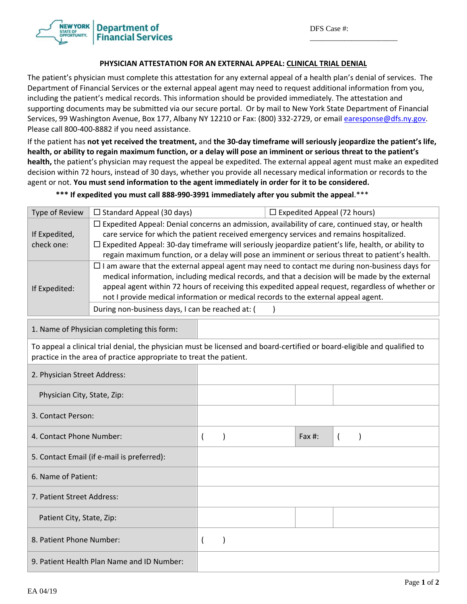\_\_\_\_\_\_\_\_\_\_\_\_\_\_\_\_\_\_\_\_\_\_\_



## **PHYSICIAN ATTESTATION FOR AN EXTERNAL APPEAL: CLINICAL TRIAL DENIAL**

The patient's physician must complete this attestation for any external appeal of a health plan's denial of services. The Department of Financial Services or the external appeal agent may need to request additional information from you, including the patient's medical records. This information should be provided immediately. The attestation and supporting documents may be submitted via our secure portal. Or by mail to New York State Department of Financial Services, 99 Washington Avenue, Box 177, Albany NY 12210 or Fax: (800) 332‐2729, or email earesponse@dfs.ny.gov. Please call 800‐400‐8882 if you need assistance.

If the patient has not yet received the treatment, and the 30-day timeframe will seriously jeopardize the patient's life, health, or ability to regain maximum function, or a delay will pose an imminent or serious threat to the patient's **health,** the patient's physician may request the appeal be expedited. The external appeal agent must make an expedited decision within 72 hours, instead of 30 days, whether you provide all necessary medical information or records to the agent or not. **You must send information to the agent immediately in order for it to be considered.** 

\*\*\* If expedited you must call 888-990-3991 immediately after you submit the appeal.\*\*\*

| Type of Review                                                                                                                                                                                 | $\Box$ Standard Appeal (30 days)                                                                                                                                                                                                                                                                                                                                                                                                                        |                |           | $\Box$ Expedited Appeal (72 hours) |            |                |           |  |
|------------------------------------------------------------------------------------------------------------------------------------------------------------------------------------------------|---------------------------------------------------------------------------------------------------------------------------------------------------------------------------------------------------------------------------------------------------------------------------------------------------------------------------------------------------------------------------------------------------------------------------------------------------------|----------------|-----------|------------------------------------|------------|----------------|-----------|--|
| If Expedited,<br>check one:                                                                                                                                                                    | $\Box$ Expedited Appeal: Denial concerns an admission, availability of care, continued stay, or health<br>care service for which the patient received emergency services and remains hospitalized.<br>$\Box$ Expedited Appeal: 30-day timeframe will seriously jeopardize patient's life, health, or ability to<br>regain maximum function, or a delay will pose an imminent or serious threat to patient's health.                                     |                |           |                                    |            |                |           |  |
| If Expedited:                                                                                                                                                                                  | $\Box$ I am aware that the external appeal agent may need to contact me during non-business days for<br>medical information, including medical records, and that a decision will be made by the external<br>appeal agent within 72 hours of receiving this expedited appeal request, regardless of whether or<br>not I provide medical information or medical records to the external appeal agent.<br>During non-business days, I can be reached at: ( |                |           |                                    |            |                |           |  |
| 1. Name of Physician completing this form:                                                                                                                                                     |                                                                                                                                                                                                                                                                                                                                                                                                                                                         |                |           |                                    |            |                |           |  |
| To appeal a clinical trial denial, the physician must be licensed and board-certified or board-eligible and qualified to<br>practice in the area of practice appropriate to treat the patient. |                                                                                                                                                                                                                                                                                                                                                                                                                                                         |                |           |                                    |            |                |           |  |
| 2. Physician Street Address:                                                                                                                                                                   |                                                                                                                                                                                                                                                                                                                                                                                                                                                         |                |           |                                    |            |                |           |  |
| Physician City, State, Zip:                                                                                                                                                                    |                                                                                                                                                                                                                                                                                                                                                                                                                                                         |                |           |                                    |            |                |           |  |
| 3. Contact Person:                                                                                                                                                                             |                                                                                                                                                                                                                                                                                                                                                                                                                                                         |                |           |                                    |            |                |           |  |
| 4. Contact Phone Number:                                                                                                                                                                       |                                                                                                                                                                                                                                                                                                                                                                                                                                                         | $\overline{ }$ | $\lambda$ |                                    | Fax $\#$ : | $\overline{ }$ | $\lambda$ |  |
| 5. Contact Email (if e-mail is preferred):                                                                                                                                                     |                                                                                                                                                                                                                                                                                                                                                                                                                                                         |                |           |                                    |            |                |           |  |
| 6. Name of Patient:                                                                                                                                                                            |                                                                                                                                                                                                                                                                                                                                                                                                                                                         |                |           |                                    |            |                |           |  |
| 7. Patient Street Address:                                                                                                                                                                     |                                                                                                                                                                                                                                                                                                                                                                                                                                                         |                |           |                                    |            |                |           |  |
| Patient City, State, Zip:                                                                                                                                                                      |                                                                                                                                                                                                                                                                                                                                                                                                                                                         |                |           |                                    |            |                |           |  |
| 8. Patient Phone Number:                                                                                                                                                                       |                                                                                                                                                                                                                                                                                                                                                                                                                                                         | $\overline{ }$ |           |                                    |            |                |           |  |
| 9. Patient Health Plan Name and ID Number:                                                                                                                                                     |                                                                                                                                                                                                                                                                                                                                                                                                                                                         |                |           |                                    |            |                |           |  |